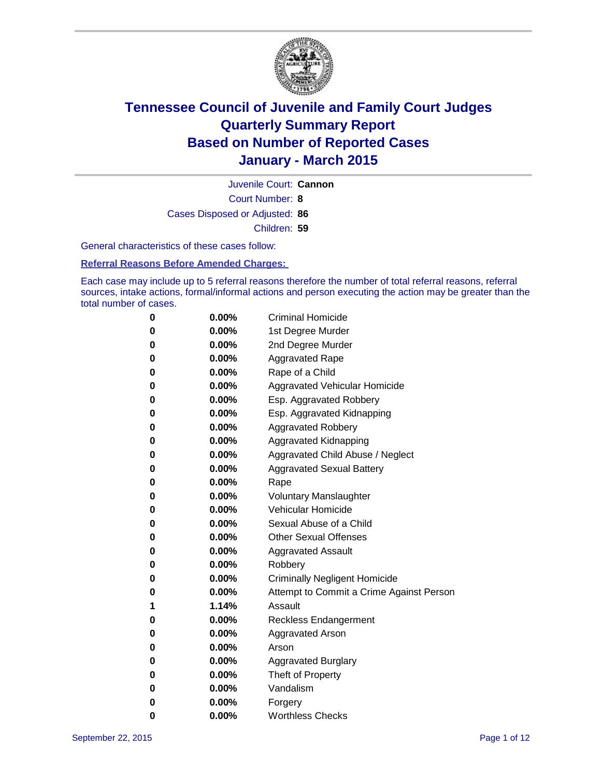

Court Number: **8** Juvenile Court: **Cannon** Cases Disposed or Adjusted: **86** Children: **59**

General characteristics of these cases follow:

### **Referral Reasons Before Amended Charges:**

Each case may include up to 5 referral reasons therefore the number of total referral reasons, referral sources, intake actions, formal/informal actions and person executing the action may be greater than the total number of cases.

| 0        | $0.00\%$ | <b>Criminal Homicide</b>                 |
|----------|----------|------------------------------------------|
| 0        | $0.00\%$ | 1st Degree Murder                        |
| $\bf{0}$ | $0.00\%$ | 2nd Degree Murder                        |
| 0        | $0.00\%$ | <b>Aggravated Rape</b>                   |
| 0        | $0.00\%$ | Rape of a Child                          |
| 0        | $0.00\%$ | Aggravated Vehicular Homicide            |
| $\bf{0}$ | $0.00\%$ | Esp. Aggravated Robbery                  |
| 0        | $0.00\%$ | Esp. Aggravated Kidnapping               |
| $\bf{0}$ | $0.00\%$ | <b>Aggravated Robbery</b>                |
| $\bf{0}$ | $0.00\%$ | <b>Aggravated Kidnapping</b>             |
| 0        | 0.00%    | Aggravated Child Abuse / Neglect         |
| 0        | 0.00%    | <b>Aggravated Sexual Battery</b>         |
| $\bf{0}$ | $0.00\%$ | Rape                                     |
| 0        | $0.00\%$ | <b>Voluntary Manslaughter</b>            |
| 0        | $0.00\%$ | <b>Vehicular Homicide</b>                |
| $\bf{0}$ | $0.00\%$ | Sexual Abuse of a Child                  |
| $\bf{0}$ | $0.00\%$ | <b>Other Sexual Offenses</b>             |
| 0        | $0.00\%$ | <b>Aggravated Assault</b>                |
| 0        | $0.00\%$ | Robbery                                  |
| 0        | $0.00\%$ | <b>Criminally Negligent Homicide</b>     |
| 0        | $0.00\%$ | Attempt to Commit a Crime Against Person |
| 1        | 1.14%    | Assault                                  |
| 0        | $0.00\%$ | <b>Reckless Endangerment</b>             |
| 0        | $0.00\%$ | <b>Aggravated Arson</b>                  |
| 0        | $0.00\%$ | Arson                                    |
| $\bf{0}$ | $0.00\%$ | <b>Aggravated Burglary</b>               |
| 0        | $0.00\%$ | Theft of Property                        |
| 0        | $0.00\%$ | Vandalism                                |
| 0        | $0.00\%$ | Forgery                                  |
| 0        | $0.00\%$ | <b>Worthless Checks</b>                  |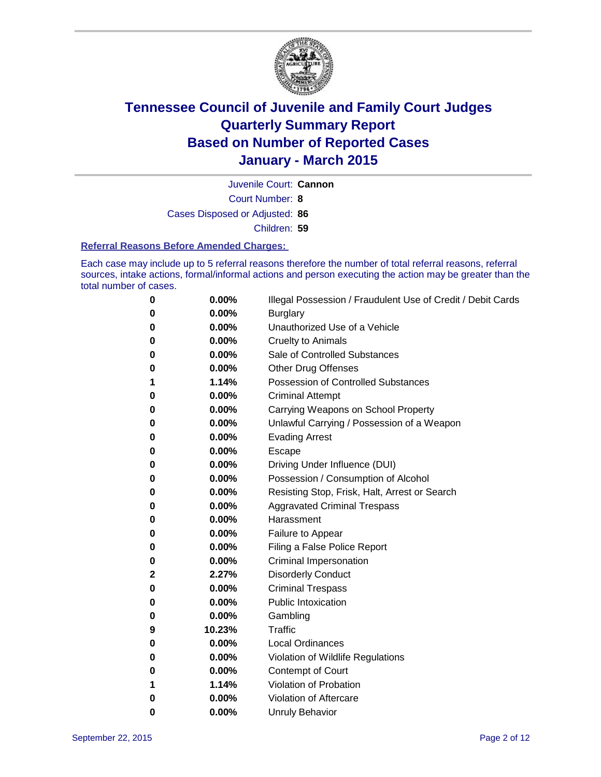

Court Number: **8** Juvenile Court: **Cannon** Cases Disposed or Adjusted: **86**

Children: **59**

### **Referral Reasons Before Amended Charges:**

Each case may include up to 5 referral reasons therefore the number of total referral reasons, referral sources, intake actions, formal/informal actions and person executing the action may be greater than the total number of cases.

| 0 | 0.00%  | Illegal Possession / Fraudulent Use of Credit / Debit Cards |
|---|--------|-------------------------------------------------------------|
| 0 | 0.00%  | <b>Burglary</b>                                             |
| 0 | 0.00%  | Unauthorized Use of a Vehicle                               |
| 0 | 0.00%  | <b>Cruelty to Animals</b>                                   |
| 0 | 0.00%  | Sale of Controlled Substances                               |
| 0 | 0.00%  | <b>Other Drug Offenses</b>                                  |
| 1 | 1.14%  | <b>Possession of Controlled Substances</b>                  |
| 0 | 0.00%  | <b>Criminal Attempt</b>                                     |
| 0 | 0.00%  | Carrying Weapons on School Property                         |
| 0 | 0.00%  | Unlawful Carrying / Possession of a Weapon                  |
| 0 | 0.00%  | <b>Evading Arrest</b>                                       |
| 0 | 0.00%  | Escape                                                      |
| 0 | 0.00%  | Driving Under Influence (DUI)                               |
| 0 | 0.00%  | Possession / Consumption of Alcohol                         |
| 0 | 0.00%  | Resisting Stop, Frisk, Halt, Arrest or Search               |
| 0 | 0.00%  | <b>Aggravated Criminal Trespass</b>                         |
| 0 | 0.00%  | Harassment                                                  |
| 0 | 0.00%  | Failure to Appear                                           |
| 0 | 0.00%  | Filing a False Police Report                                |
| 0 | 0.00%  | Criminal Impersonation                                      |
| 2 | 2.27%  | <b>Disorderly Conduct</b>                                   |
| 0 | 0.00%  | <b>Criminal Trespass</b>                                    |
| 0 | 0.00%  | <b>Public Intoxication</b>                                  |
| 0 | 0.00%  | Gambling                                                    |
| 9 | 10.23% | Traffic                                                     |
| 0 | 0.00%  | <b>Local Ordinances</b>                                     |
| 0 | 0.00%  | Violation of Wildlife Regulations                           |
| 0 | 0.00%  | <b>Contempt of Court</b>                                    |
| 1 | 1.14%  | Violation of Probation                                      |
| 0 | 0.00%  | Violation of Aftercare                                      |
| 0 | 0.00%  | <b>Unruly Behavior</b>                                      |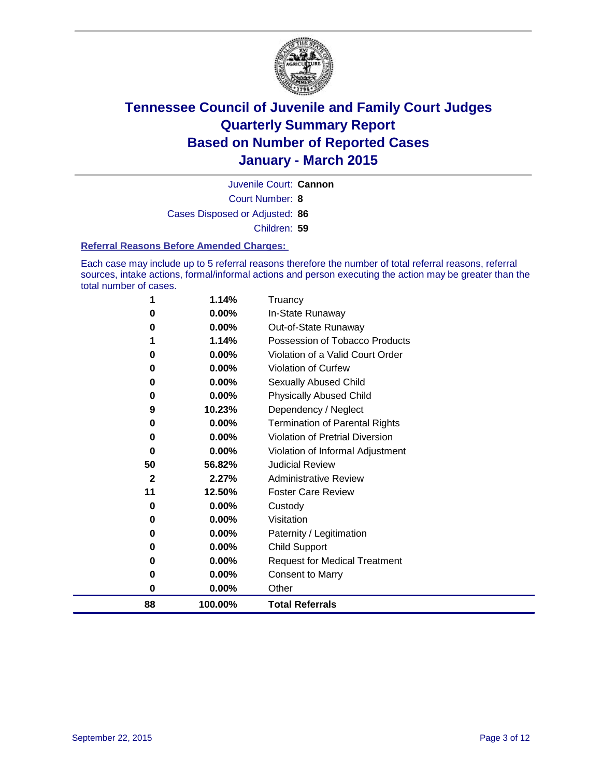

Court Number: **8** Juvenile Court: **Cannon** Cases Disposed or Adjusted: **86** Children: **59**

#### **Referral Reasons Before Amended Charges:**

Each case may include up to 5 referral reasons therefore the number of total referral reasons, referral sources, intake actions, formal/informal actions and person executing the action may be greater than the total number of cases.

|              | 1.14%    | Truancy                                |
|--------------|----------|----------------------------------------|
| 0            | 0.00%    | In-State Runaway                       |
| 0            | $0.00\%$ | Out-of-State Runaway                   |
|              | 1.14%    | Possession of Tobacco Products         |
| 0            | 0.00%    | Violation of a Valid Court Order       |
| 0            | 0.00%    | <b>Violation of Curfew</b>             |
| 0            | 0.00%    | Sexually Abused Child                  |
| 0            | 0.00%    | <b>Physically Abused Child</b>         |
| 9            | 10.23%   | Dependency / Neglect                   |
| 0            | 0.00%    | <b>Termination of Parental Rights</b>  |
| 0            | $0.00\%$ | <b>Violation of Pretrial Diversion</b> |
| 0            | 0.00%    | Violation of Informal Adjustment       |
| 50           | 56.82%   | <b>Judicial Review</b>                 |
| $\mathbf{2}$ | 2.27%    | <b>Administrative Review</b>           |
| 11           | 12.50%   | <b>Foster Care Review</b>              |
| 0            | 0.00%    | Custody                                |
| 0            | 0.00%    | Visitation                             |
| 0            | $0.00\%$ | Paternity / Legitimation               |
| 0            | 0.00%    | <b>Child Support</b>                   |
| 0            | 0.00%    | <b>Request for Medical Treatment</b>   |
| 0            | 0.00%    | <b>Consent to Marry</b>                |
| 0            | 0.00%    | Other                                  |
| 88           | 100.00%  | <b>Total Referrals</b>                 |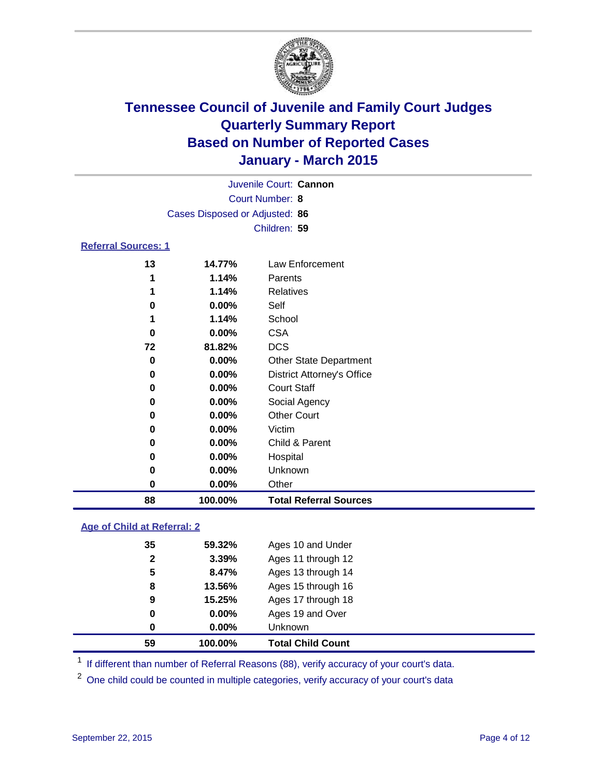

| Juvenile Court: Cannon         |  |
|--------------------------------|--|
| Court Number: 8                |  |
| Cases Disposed or Adjusted: 86 |  |
| Children: 59                   |  |
| <b>Referral Sources: 1</b>     |  |

| 88 | 100.00%  | <b>Total Referral Sources</b>     |
|----|----------|-----------------------------------|
| 0  | $0.00\%$ | Other                             |
| 0  | 0.00%    | Unknown                           |
| 0  | 0.00%    | Hospital                          |
| O  | 0.00%    | Child & Parent                    |
| 0  | 0.00%    | Victim                            |
| 0  | 0.00%    | <b>Other Court</b>                |
| 0  | 0.00%    | Social Agency                     |
| 0  | $0.00\%$ | <b>Court Staff</b>                |
| 0  | 0.00%    | <b>District Attorney's Office</b> |
| 0  | 0.00%    | <b>Other State Department</b>     |
| 72 | 81.82%   | <b>DCS</b>                        |
| 0  | 0.00%    | <b>CSA</b>                        |
|    | 1.14%    | School                            |
| O  | 0.00%    | Self                              |
|    | 1.14%    | Relatives                         |
| 1  | 1.14%    | Parents                           |
| 13 | 14.77%   | Law Enforcement                   |
|    |          |                                   |

### **Age of Child at Referral: 2**

| 0            | $0.00\%$ | Ages 19 and Over   |
|--------------|----------|--------------------|
| 0            | $0.00\%$ | Unknown            |
| 8            | 13.56%   | Ages 15 through 16 |
| 9            | 15.25%   | Ages 17 through 18 |
| 5            | 8.47%    | Ages 13 through 14 |
| 35           | 59.32%   | Ages 10 and Under  |
| $\mathbf{2}$ | 3.39%    | Ages 11 through 12 |

<sup>1</sup> If different than number of Referral Reasons (88), verify accuracy of your court's data.

One child could be counted in multiple categories, verify accuracy of your court's data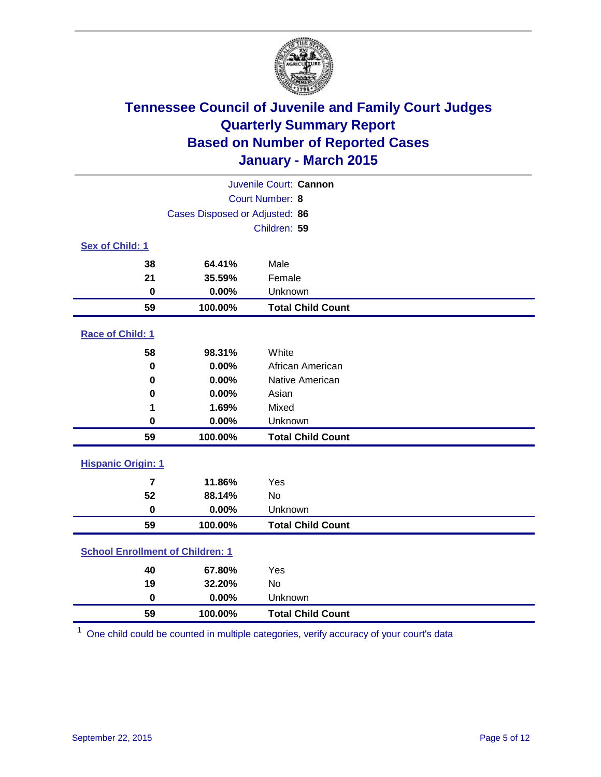

|                                         | Juvenile Court: Cannon         |                          |  |  |
|-----------------------------------------|--------------------------------|--------------------------|--|--|
|                                         |                                | Court Number: 8          |  |  |
|                                         | Cases Disposed or Adjusted: 86 |                          |  |  |
|                                         |                                | Children: 59             |  |  |
| <b>Sex of Child: 1</b>                  |                                |                          |  |  |
| 38                                      | 64.41%                         | Male                     |  |  |
| 21                                      | 35.59%                         | Female                   |  |  |
| $\bf{0}$                                | 0.00%                          | Unknown                  |  |  |
| 59                                      | 100.00%                        | <b>Total Child Count</b> |  |  |
| Race of Child: 1                        |                                |                          |  |  |
| 58                                      | 98.31%                         | White                    |  |  |
| $\mathbf 0$                             | 0.00%                          | African American         |  |  |
| 0                                       | 0.00%                          | Native American          |  |  |
| 0                                       | 0.00%                          | Asian                    |  |  |
| 1                                       | 1.69%                          | Mixed                    |  |  |
| 0                                       | 0.00%                          | Unknown                  |  |  |
| 59                                      | 100.00%                        | <b>Total Child Count</b> |  |  |
| <b>Hispanic Origin: 1</b>               |                                |                          |  |  |
| $\overline{7}$                          | 11.86%                         | Yes                      |  |  |
| 52                                      | 88.14%                         | No                       |  |  |
| $\bf{0}$                                | 0.00%                          | Unknown                  |  |  |
| 59                                      | 100.00%                        | <b>Total Child Count</b> |  |  |
| <b>School Enrollment of Children: 1</b> |                                |                          |  |  |
| 40                                      | 67.80%                         | Yes                      |  |  |
| 19                                      | 32.20%                         | No                       |  |  |
| $\mathbf 0$                             | 0.00%                          | Unknown                  |  |  |
| 59                                      | 100.00%                        | <b>Total Child Count</b> |  |  |

One child could be counted in multiple categories, verify accuracy of your court's data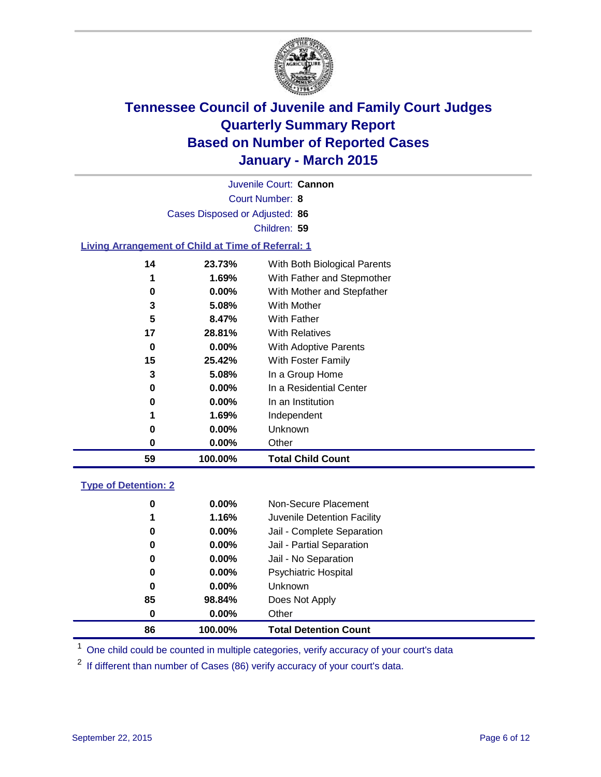

Court Number: **8** Juvenile Court: **Cannon** Cases Disposed or Adjusted: **86** Children: **59**

### **Living Arrangement of Child at Time of Referral: 1**

| 59 | 100.00%  | <b>Total Child Count</b>     |  |
|----|----------|------------------------------|--|
| 0  | $0.00\%$ | Other                        |  |
| 0  | $0.00\%$ | Unknown                      |  |
| 1  | 1.69%    | Independent                  |  |
| 0  | 0.00%    | In an Institution            |  |
| 0  | $0.00\%$ | In a Residential Center      |  |
| 3  | 5.08%    | In a Group Home              |  |
| 15 | 25.42%   | With Foster Family           |  |
| 0  | $0.00\%$ | With Adoptive Parents        |  |
| 17 | 28.81%   | <b>With Relatives</b>        |  |
| 5  | 8.47%    | With Father                  |  |
| 3  | 5.08%    | With Mother                  |  |
| 0  | $0.00\%$ | With Mother and Stepfather   |  |
| 1  | 1.69%    | With Father and Stepmother   |  |
| 14 | 23.73%   | With Both Biological Parents |  |
|    |          |                              |  |

#### **Type of Detention: 2**

| $0.00\%$<br>1.16%<br>$0.00\%$<br>0.00%<br>$0.00\%$<br>$0.00\%$<br>$0.00\%$<br>98.84% | Non-Secure Placement<br>Juvenile Detention Facility<br>Jail - Complete Separation<br>Jail - Partial Separation<br>Jail - No Separation<br><b>Psychiatric Hospital</b><br><b>Unknown</b><br>Does Not Apply<br>Other |
|--------------------------------------------------------------------------------------|--------------------------------------------------------------------------------------------------------------------------------------------------------------------------------------------------------------------|
| 100.00%                                                                              | <b>Total Detention Count</b>                                                                                                                                                                                       |
|                                                                                      | $0.00\%$                                                                                                                                                                                                           |

<sup>1</sup> One child could be counted in multiple categories, verify accuracy of your court's data

If different than number of Cases (86) verify accuracy of your court's data.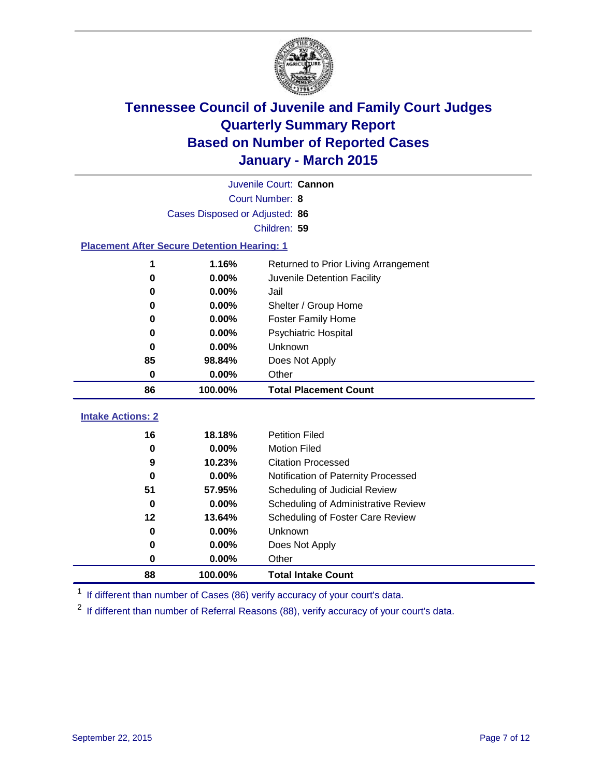

| Juvenile Court: Cannon   |                                                    |                                      |  |  |  |
|--------------------------|----------------------------------------------------|--------------------------------------|--|--|--|
|                          | Court Number: 8                                    |                                      |  |  |  |
|                          | Cases Disposed or Adjusted: 86                     |                                      |  |  |  |
|                          |                                                    | Children: 59                         |  |  |  |
|                          | <b>Placement After Secure Detention Hearing: 1</b> |                                      |  |  |  |
| 1                        | 1.16%                                              | Returned to Prior Living Arrangement |  |  |  |
| 0                        | 0.00%                                              | Juvenile Detention Facility          |  |  |  |
| 0                        | 0.00%                                              | Jail                                 |  |  |  |
| 0                        | 0.00%                                              | Shelter / Group Home                 |  |  |  |
| 0                        | 0.00%                                              | <b>Foster Family Home</b>            |  |  |  |
| 0                        | 0.00%                                              | Psychiatric Hospital                 |  |  |  |
| 0                        | 0.00%                                              | Unknown                              |  |  |  |
| 85                       | 98.84%                                             | Does Not Apply                       |  |  |  |
| 0                        | 0.00%                                              | Other                                |  |  |  |
| 86                       | 100.00%                                            | <b>Total Placement Count</b>         |  |  |  |
| <b>Intake Actions: 2</b> |                                                    |                                      |  |  |  |
| 16                       | 18.18%                                             | <b>Petition Filed</b>                |  |  |  |
| 0                        | 0.00%                                              | <b>Motion Filed</b>                  |  |  |  |
| 9                        | 10.23%                                             | <b>Citation Processed</b>            |  |  |  |
| $\bf{0}$                 | 0.00%                                              | Notification of Paternity Processed  |  |  |  |
| 51                       | 57.95%                                             | Scheduling of Judicial Review        |  |  |  |
| 0                        | 0.00%                                              | Scheduling of Administrative Review  |  |  |  |
| 12                       | 13.64%                                             | Scheduling of Foster Care Review     |  |  |  |
| 0                        | 0.00%                                              | Unknown                              |  |  |  |
| 0                        | 0.00%                                              | Does Not Apply                       |  |  |  |
| 0                        | 0.00%                                              | Other                                |  |  |  |

<sup>1</sup> If different than number of Cases (86) verify accuracy of your court's data.

**100.00% Total Intake Count**

<sup>2</sup> If different than number of Referral Reasons (88), verify accuracy of your court's data.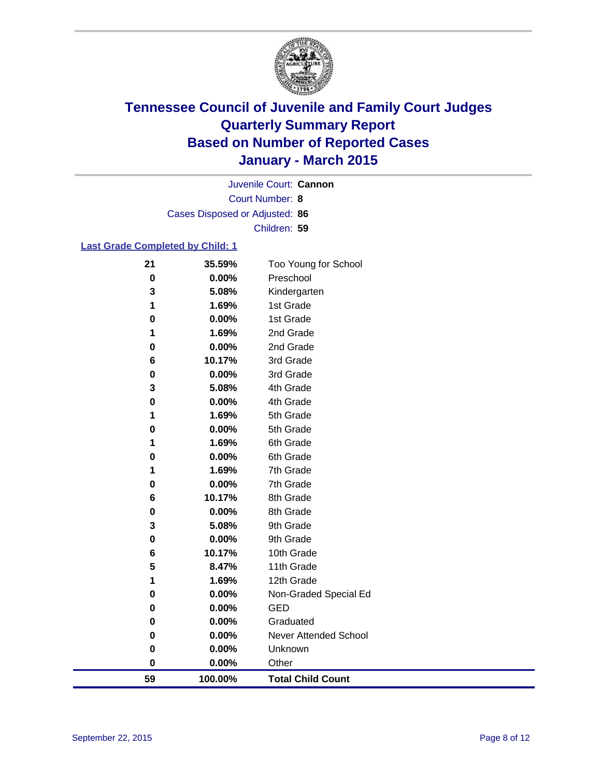

Court Number: **8** Juvenile Court: **Cannon** Cases Disposed or Adjusted: **86** Children: **59**

### **Last Grade Completed by Child: 1**

| 59     | 100.00%        | <b>Total Child Count</b>     |
|--------|----------------|------------------------------|
| 0      | $0.00\%$       | Other                        |
| 0      | 0.00%          | Unknown                      |
| 0      | 0.00%          | <b>Never Attended School</b> |
| 0      | 0.00%          | Graduated                    |
| 0      | 0.00%          | <b>GED</b>                   |
| 0      | 0.00%          | Non-Graded Special Ed        |
| 1      | 1.69%          | 12th Grade                   |
| 5      | 8.47%          | 11th Grade                   |
| 6      | 10.17%         | 10th Grade                   |
| 0      | 0.00%          | 9th Grade                    |
| 3      | 5.08%          | 9th Grade                    |
| 0      | 0.00%          | 8th Grade                    |
| 6      | 10.17%         | 8th Grade                    |
| 0      | 0.00%          | 7th Grade                    |
| 1      | 1.69%          | 7th Grade                    |
| 0      | 0.00%          | 6th Grade                    |
| 0<br>1 | 0.00%<br>1.69% | 5th Grade<br>6th Grade       |
| 1      | 1.69%          | 5th Grade                    |
| 0      | 0.00%          | 4th Grade                    |
| 3      | 5.08%          | 4th Grade                    |
| 0      | 0.00%          | 3rd Grade                    |
| 6      | 10.17%         | 3rd Grade                    |
| 0      | 0.00%          | 2nd Grade                    |
| 1      | 1.69%          | 2nd Grade                    |
| 0      | 0.00%          | 1st Grade                    |
| 1      | 1.69%          | 1st Grade                    |
| 3      | 5.08%          | Kindergarten                 |
| 0      | 0.00%          | Preschool                    |
| 21     | 35.59%         | Too Young for School         |
|        |                |                              |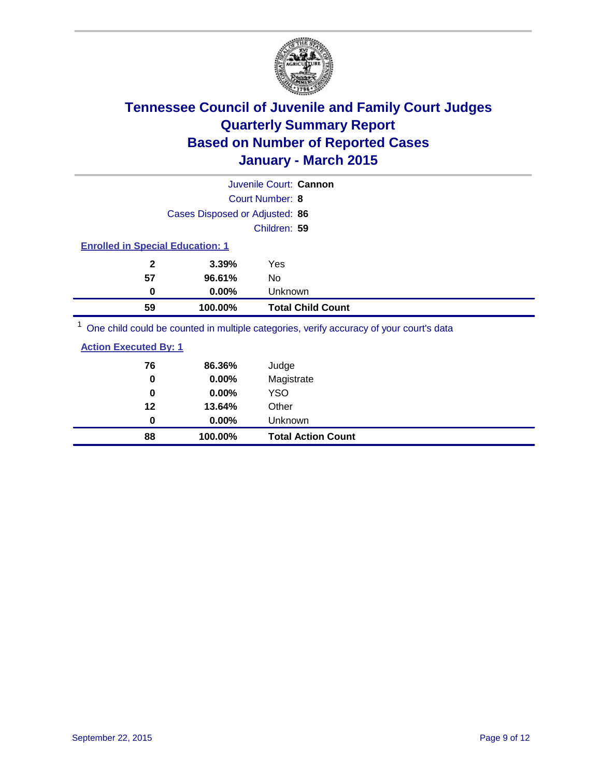

|                                                                                         |                                | Juvenile Court: Cannon   |  |  |
|-----------------------------------------------------------------------------------------|--------------------------------|--------------------------|--|--|
|                                                                                         |                                | Court Number: 8          |  |  |
|                                                                                         | Cases Disposed or Adjusted: 86 |                          |  |  |
| Children: 59                                                                            |                                |                          |  |  |
| <b>Enrolled in Special Education: 1</b>                                                 |                                |                          |  |  |
| $\mathbf{2}$                                                                            | 3.39%                          | Yes                      |  |  |
| 57                                                                                      | 96.61%                         | No                       |  |  |
| 0                                                                                       | $0.00\%$                       | Unknown                  |  |  |
| 59                                                                                      | 100.00%                        | <b>Total Child Count</b> |  |  |
| One child could be counted in multiple categories, verify accuracy of your court's data |                                |                          |  |  |

| <b>Action Executed By: 1</b> |          |                           |  |
|------------------------------|----------|---------------------------|--|
| 76                           | 86.36%   | Judge                     |  |
| 0                            | 0.00%    | Magistrate                |  |
| 0                            | 0.00%    | YSO                       |  |
| 12                           | 13.64%   | Other                     |  |
| 0                            | $0.00\%$ | Unknown                   |  |
| 88                           | 100.00%  | <b>Total Action Count</b> |  |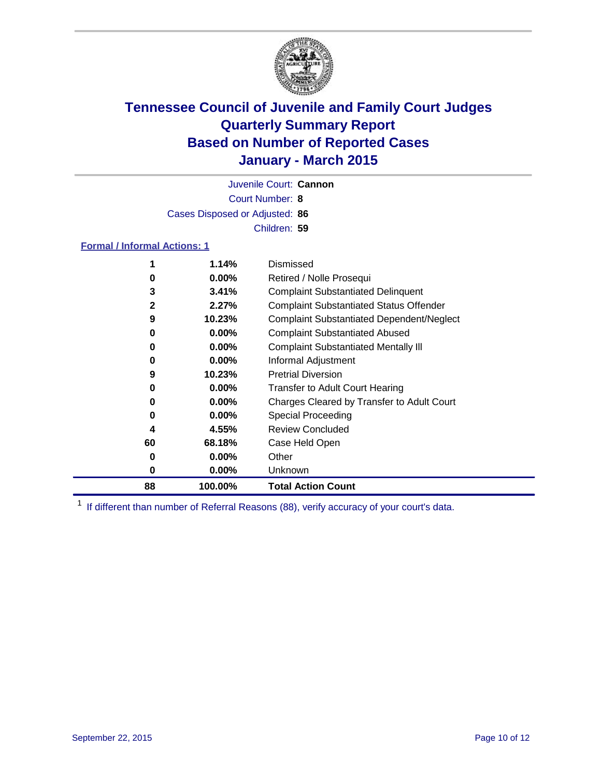

Court Number: **8** Juvenile Court: **Cannon** Cases Disposed or Adjusted: **86** Children: **59**

### **Formal / Informal Actions: 1**

| 1  | 1.14%    | Dismissed                                        |
|----|----------|--------------------------------------------------|
| 0  | $0.00\%$ | Retired / Nolle Prosequi                         |
| 3  | 3.41%    | <b>Complaint Substantiated Delinquent</b>        |
| 2  | 2.27%    | <b>Complaint Substantiated Status Offender</b>   |
| 9  | 10.23%   | <b>Complaint Substantiated Dependent/Neglect</b> |
| 0  | $0.00\%$ | <b>Complaint Substantiated Abused</b>            |
| 0  | $0.00\%$ | <b>Complaint Substantiated Mentally III</b>      |
| 0  | $0.00\%$ | Informal Adjustment                              |
| 9  | 10.23%   | <b>Pretrial Diversion</b>                        |
| 0  | $0.00\%$ | <b>Transfer to Adult Court Hearing</b>           |
| 0  | $0.00\%$ | Charges Cleared by Transfer to Adult Court       |
| 0  | $0.00\%$ | Special Proceeding                               |
| 4  | 4.55%    | <b>Review Concluded</b>                          |
| 60 | 68.18%   | Case Held Open                                   |
| 0  | $0.00\%$ | Other                                            |
| 0  | $0.00\%$ | Unknown                                          |
| 88 | 100.00%  | <b>Total Action Count</b>                        |

<sup>1</sup> If different than number of Referral Reasons (88), verify accuracy of your court's data.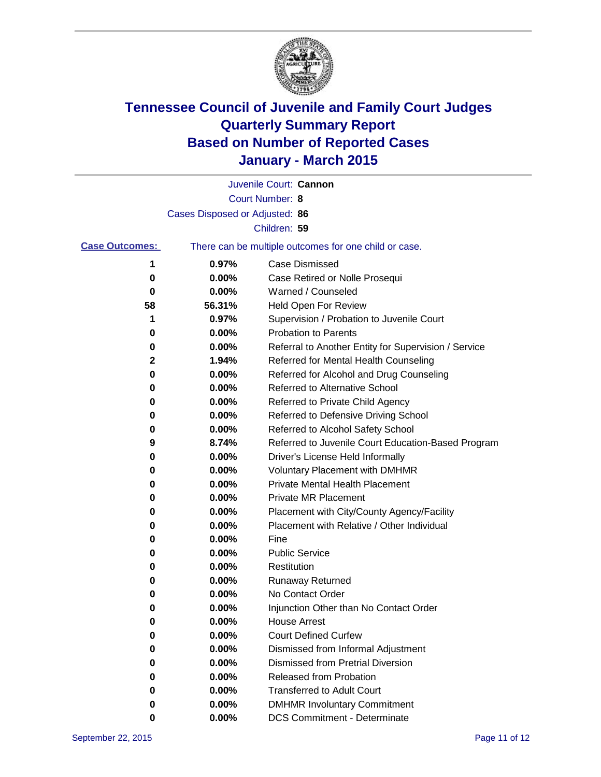

|                       |                                | Juvenile Court: Cannon                                |
|-----------------------|--------------------------------|-------------------------------------------------------|
|                       |                                | Court Number: 8                                       |
|                       | Cases Disposed or Adjusted: 86 |                                                       |
|                       |                                | Children: 59                                          |
| <b>Case Outcomes:</b> |                                | There can be multiple outcomes for one child or case. |
| 1                     | 0.97%                          | <b>Case Dismissed</b>                                 |
| 0                     | 0.00%                          | Case Retired or Nolle Prosequi                        |
| 0                     | 0.00%                          | Warned / Counseled                                    |
| 58                    | 56.31%                         | <b>Held Open For Review</b>                           |
| 1                     | 0.97%                          | Supervision / Probation to Juvenile Court             |
| 0                     | 0.00%                          | <b>Probation to Parents</b>                           |
| 0                     | 0.00%                          | Referral to Another Entity for Supervision / Service  |
| 2                     | 1.94%                          | Referred for Mental Health Counseling                 |
| 0                     | 0.00%                          | Referred for Alcohol and Drug Counseling              |
| 0                     | 0.00%                          | <b>Referred to Alternative School</b>                 |
| 0                     | 0.00%                          | Referred to Private Child Agency                      |
| 0                     | 0.00%                          | Referred to Defensive Driving School                  |
| 0                     | 0.00%                          | Referred to Alcohol Safety School                     |
| 9                     | 8.74%                          | Referred to Juvenile Court Education-Based Program    |
| 0                     | 0.00%                          | Driver's License Held Informally                      |
| 0                     | 0.00%                          | <b>Voluntary Placement with DMHMR</b>                 |
| 0                     | 0.00%                          | <b>Private Mental Health Placement</b>                |
| 0                     | 0.00%                          | <b>Private MR Placement</b>                           |
| 0                     | 0.00%                          | Placement with City/County Agency/Facility            |
| 0                     | 0.00%                          | Placement with Relative / Other Individual            |
| 0                     | 0.00%                          | Fine                                                  |
| 0                     | 0.00%                          | <b>Public Service</b>                                 |
| 0                     | 0.00%                          | Restitution                                           |
| 0                     | 0.00%                          | <b>Runaway Returned</b>                               |
| 0                     | 0.00%                          | No Contact Order                                      |
| 0                     | 0.00%                          | Injunction Other than No Contact Order                |
| 0                     | $0.00\%$                       | House Arrest                                          |
| 0                     | 0.00%                          | <b>Court Defined Curfew</b>                           |
| 0                     | 0.00%                          | Dismissed from Informal Adjustment                    |
| 0                     | 0.00%                          | <b>Dismissed from Pretrial Diversion</b>              |
| 0                     | 0.00%                          | Released from Probation                               |
| 0                     | 0.00%                          | <b>Transferred to Adult Court</b>                     |
| 0                     | 0.00%                          | <b>DMHMR Involuntary Commitment</b>                   |
| 0                     | 0.00%                          | <b>DCS Commitment - Determinate</b>                   |